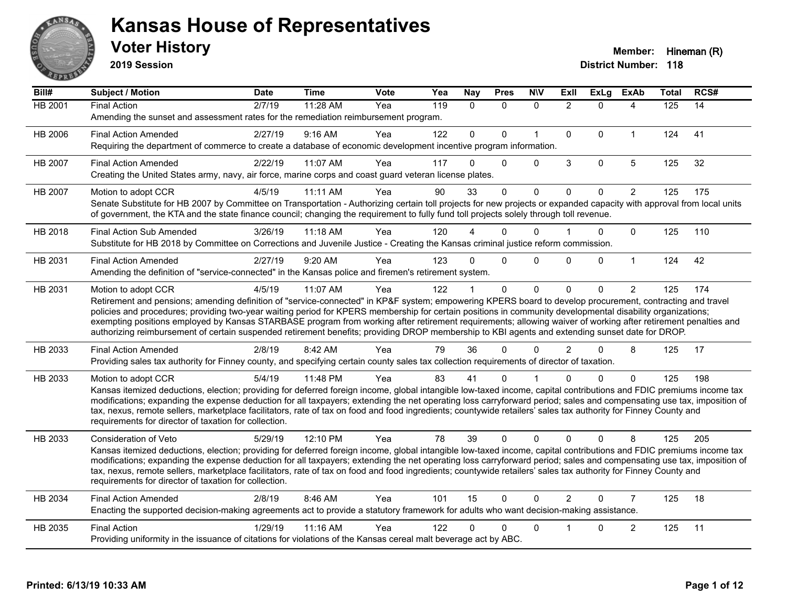

**2019 Session**

| Bill#          | Subject / Motion                                                                                                                                                                                                                                                                                                                                                                                                                                                                                                                                                                                                                                                   | <b>Date</b> | <b>Time</b> | <b>Vote</b> | Yea | <b>Nay</b>   | <b>Pres</b>  | <b>N\V</b>   | ExIl           | <b>ExLg</b> | <b>ExAb</b>    | <b>Total</b> | RCS# |
|----------------|--------------------------------------------------------------------------------------------------------------------------------------------------------------------------------------------------------------------------------------------------------------------------------------------------------------------------------------------------------------------------------------------------------------------------------------------------------------------------------------------------------------------------------------------------------------------------------------------------------------------------------------------------------------------|-------------|-------------|-------------|-----|--------------|--------------|--------------|----------------|-------------|----------------|--------------|------|
| <b>HB 2001</b> | <b>Final Action</b><br>Amending the sunset and assessment rates for the remediation reimbursement program.                                                                                                                                                                                                                                                                                                                                                                                                                                                                                                                                                         | 2/7/19      | 11:28 AM    | Yea         | 119 | $\mathbf{0}$ | $\Omega$     | $\mathbf{0}$ | $\overline{2}$ | $\Omega$    | 4              | 125          | 14   |
| HB 2006        | <b>Final Action Amended</b><br>Requiring the department of commerce to create a database of economic development incentive program information.                                                                                                                                                                                                                                                                                                                                                                                                                                                                                                                    | 2/27/19     | 9:16 AM     | Yea         | 122 | $\mathbf{0}$ | $\Omega$     | $\mathbf{1}$ | $\mathbf 0$    | $\Omega$    | $\mathbf{1}$   | 124          | 41   |
| HB 2007        | <b>Final Action Amended</b><br>Creating the United States army, navy, air force, marine corps and coast guard veteran license plates.                                                                                                                                                                                                                                                                                                                                                                                                                                                                                                                              | 2/22/19     | 11:07 AM    | Yea         | 117 | $\Omega$     | 0            | $\mathbf 0$  | 3              | $\mathbf 0$ | 5              | 125          | 32   |
| <b>HB 2007</b> | Motion to adopt CCR<br>Senate Substitute for HB 2007 by Committee on Transportation - Authorizing certain toll projects for new projects or expanded capacity with approval from local units<br>of government, the KTA and the state finance council; changing the requirement to fully fund toll projects solely through toll revenue.                                                                                                                                                                                                                                                                                                                            | 4/5/19      | 11:11 AM    | Yea         | 90  | 33           | $\Omega$     | $\Omega$     | $\Omega$       | $\Omega$    | $\overline{2}$ | 125          | 175  |
| HB 2018        | <b>Final Action Sub Amended</b><br>Substitute for HB 2018 by Committee on Corrections and Juvenile Justice - Creating the Kansas criminal justice reform commission.                                                                                                                                                                                                                                                                                                                                                                                                                                                                                               | 3/26/19     | 11:18 AM    | Yea         | 120 |              | 0            | $\Omega$     |                | 0           | $\Omega$       | 125          | 110  |
| HB 2031        | <b>Final Action Amended</b><br>Amending the definition of "service-connected" in the Kansas police and firemen's retirement system.                                                                                                                                                                                                                                                                                                                                                                                                                                                                                                                                | 2/27/19     | 9:20 AM     | Yea         | 123 | $\Omega$     | $\Omega$     | $\mathbf{0}$ | $\Omega$       | $\Omega$    | $\mathbf{1}$   | 124          | 42   |
| HB 2031        | Motion to adopt CCR<br>Retirement and pensions; amending definition of "service-connected" in KP&F system; empowering KPERS board to develop procurement, contracting and travel<br>policies and procedures; providing two-year waiting period for KPERS membership for certain positions in community developmental disability organizations;<br>exempting positions employed by Kansas STARBASE program from working after retirement requirements; allowing waiver of working after retirement penalties and<br>authorizing reimbursement of certain suspended retirement benefits; providing DROP membership to KBI agents and extending sunset date for DROP. | 4/5/19      | 11:07 AM    | Yea         | 122 |              | $\mathbf{0}$ | $\Omega$     | $\Omega$       | $\Omega$    | $\overline{2}$ | 125          | 174  |
| HB 2033        | <b>Final Action Amended</b><br>Providing sales tax authority for Finney county, and specifying certain county sales tax collection requirements of director of taxation.                                                                                                                                                                                                                                                                                                                                                                                                                                                                                           | 2/8/19      | 8:42 AM     | Yea         | 79  | 36           | $\Omega$     | $\Omega$     | $\overline{2}$ | $\Omega$    | 8              | 125          | 17   |
| HB 2033        | Motion to adopt CCR<br>Kansas itemized deductions, election; providing for deferred foreign income, global intangible low-taxed income, capital contributions and FDIC premiums income tax<br>modifications; expanding the expense deduction for all taxpayers; extending the net operating loss carryforward period; sales and compensating use tax, imposition of<br>tax, nexus, remote sellers, marketplace facilitators, rate of tax on food and food ingredients; countywide retailers' sales tax authority for Finney County and<br>requirements for director of taxation for collection.                                                                    | 5/4/19      | 11:48 PM    | Yea         | 83  | 41           | 0            |              | n              | $\Omega$    | $\mathbf{0}$   | 125          | 198  |
| HB 2033        | <b>Consideration of Veto</b><br>Kansas itemized deductions, election; providing for deferred foreign income, global intangible low-taxed income, capital contributions and FDIC premiums income tax<br>modifications; expanding the expense deduction for all taxpayers; extending the net operating loss carryforward period; sales and compensating use tax, imposition of<br>tax, nexus, remote sellers, marketplace facilitators, rate of tax on food and food ingredients; countywide retailers' sales tax authority for Finney County and<br>requirements for director of taxation for collection.                                                           | 5/29/19     | 12:10 PM    | Yea         | 78  | 39           | $\Omega$     | $\Omega$     | $\Omega$       | $\Omega$    | 8              | 125          | 205  |
| HB 2034        | <b>Final Action Amended</b><br>Enacting the supported decision-making agreements act to provide a statutory framework for adults who want decision-making assistance.                                                                                                                                                                                                                                                                                                                                                                                                                                                                                              | 2/8/19      | 8:46 AM     | Yea         | 101 | 15           | $\mathbf{0}$ | $\Omega$     | $\overline{2}$ | $\Omega$    | $\overline{7}$ | 125          | 18   |
| HB 2035        | <b>Final Action</b><br>Providing uniformity in the issuance of citations for violations of the Kansas cereal malt beverage act by ABC.                                                                                                                                                                                                                                                                                                                                                                                                                                                                                                                             | 1/29/19     | 11:16 AM    | Yea         | 122 | 0            | 0            | $\Omega$     |                | 0           | $\overline{c}$ | 125          | 11   |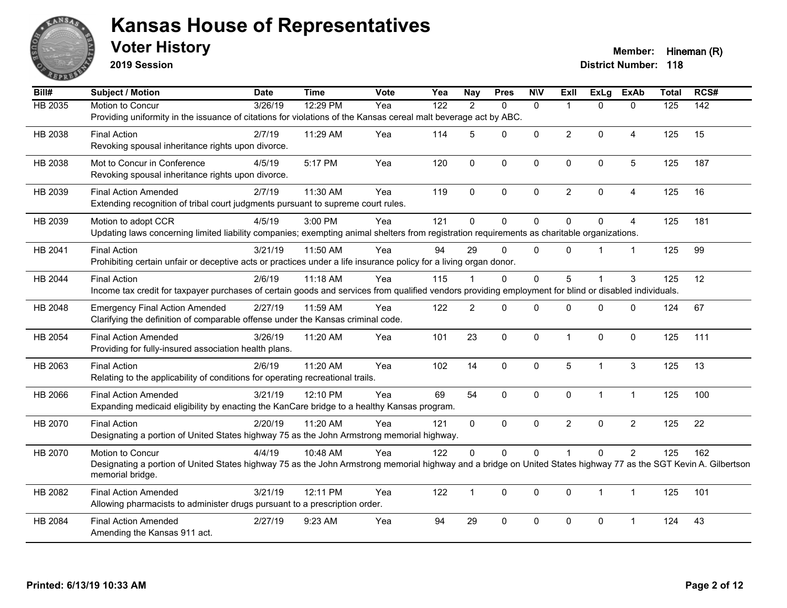

**2019 Session**

**Voter History Member:** Hineman (R)

| Bill#   | Subject / Motion                                                                                                                                                 | <b>Date</b> | <b>Time</b> | Vote | Yea              | <b>Nay</b>     | <b>Pres</b> | <b>NIV</b>   | Exll           | <b>ExLg</b>  | <b>ExAb</b>    | <b>Total</b>     | RCS#             |
|---------|------------------------------------------------------------------------------------------------------------------------------------------------------------------|-------------|-------------|------|------------------|----------------|-------------|--------------|----------------|--------------|----------------|------------------|------------------|
| HB 2035 | Motion to Concur                                                                                                                                                 | 3/26/19     | 12:29 PM    | Yea  | $\overline{122}$ | 2              | $\Omega$    | $\mathbf{0}$ | -1             | $\Omega$     | $\mathbf{0}$   | $\overline{125}$ | $\overline{142}$ |
|         | Providing uniformity in the issuance of citations for violations of the Kansas cereal malt beverage act by ABC.                                                  |             |             |      |                  |                |             |              |                |              |                |                  |                  |
| HB 2038 | <b>Final Action</b>                                                                                                                                              | 2/7/19      | 11:29 AM    | Yea  | 114              | 5              | $\Omega$    | $\mathbf 0$  | $\overline{2}$ | $\Omega$     | $\overline{4}$ | 125              | 15               |
|         | Revoking spousal inheritance rights upon divorce.                                                                                                                |             |             |      |                  |                |             |              |                |              |                |                  |                  |
| HB 2038 | Mot to Concur in Conference                                                                                                                                      | 4/5/19      | 5:17 PM     | Yea  | 120              | $\mathbf 0$    | 0           | $\mathbf 0$  | 0              | 0            | $\sqrt{5}$     | 125              | 187              |
|         | Revoking spousal inheritance rights upon divorce.                                                                                                                |             |             |      |                  |                |             |              |                |              |                |                  |                  |
|         |                                                                                                                                                                  |             |             |      |                  |                |             |              |                |              |                |                  |                  |
| HB 2039 | <b>Final Action Amended</b><br>Extending recognition of tribal court judgments pursuant to supreme court rules.                                                  | 2/7/19      | 11:30 AM    | Yea  | 119              | $\Omega$       | $\Omega$    | $\mathbf{0}$ | $\overline{2}$ | $\mathbf 0$  | $\overline{A}$ | 125              | 16               |
|         |                                                                                                                                                                  |             |             |      |                  |                |             |              |                |              |                |                  |                  |
| HB 2039 | Motion to adopt CCR                                                                                                                                              | 4/5/19      | 3:00 PM     | Yea  | 121              | $\mathbf 0$    | 0           | $\pmb{0}$    | $\mathbf 0$    | $\Omega$     | $\overline{4}$ | 125              | 181              |
|         | Updating laws concerning limited liability companies; exempting animal shelters from registration requirements as charitable organizations.                      |             |             |      |                  |                |             |              |                |              |                |                  |                  |
| HB 2041 | <b>Final Action</b>                                                                                                                                              | 3/21/19     | 11:50 AM    | Yea  | 94               | 29             | $\Omega$    | $\Omega$     | $\Omega$       |              | $\mathbf{1}$   | 125              | 99               |
|         | Prohibiting certain unfair or deceptive acts or practices under a life insurance policy for a living organ donor.                                                |             |             |      |                  |                |             |              |                |              |                |                  |                  |
| HB 2044 | <b>Final Action</b>                                                                                                                                              | 2/6/19      | 11:18 AM    | Yea  | 115              |                | $\Omega$    | 0            | 5              |              | 3              | 125              | 12               |
|         | Income tax credit for taxpayer purchases of certain goods and services from qualified vendors providing employment for blind or disabled individuals.            |             |             |      |                  |                |             |              |                |              |                |                  |                  |
| HB 2048 | <b>Emergency Final Action Amended</b>                                                                                                                            | 2/27/19     | 11:59 AM    | Yea  | 122              | $\overline{2}$ | $\Omega$    | $\Omega$     | $\Omega$       | $\Omega$     | $\mathbf{0}$   | 124              | 67               |
|         | Clarifying the definition of comparable offense under the Kansas criminal code.                                                                                  |             |             |      |                  |                |             |              |                |              |                |                  |                  |
|         |                                                                                                                                                                  |             |             |      |                  |                |             |              |                |              |                |                  |                  |
| HB 2054 | <b>Final Action Amended</b><br>Providing for fully-insured association health plans.                                                                             | 3/26/19     | 11:20 AM    | Yea  | 101              | 23             | 0           | $\pmb{0}$    | $\mathbf 1$    | $\mathbf 0$  | $\mathbf 0$    | 125              | 111              |
|         |                                                                                                                                                                  |             |             |      |                  |                |             |              |                |              |                |                  |                  |
| HB 2063 | <b>Final Action</b>                                                                                                                                              | 2/6/19      | 11:20 AM    | Yea  | 102              | 14             | 0           | $\mathbf 0$  | 5              | 1            | $\mathbf{3}$   | 125              | 13               |
|         | Relating to the applicability of conditions for operating recreational trails.                                                                                   |             |             |      |                  |                |             |              |                |              |                |                  |                  |
| HB 2066 | <b>Final Action Amended</b>                                                                                                                                      | 3/21/19     | 12:10 PM    | Yea  | 69               | 54             | $\Omega$    | $\mathbf{0}$ | $\mathbf{0}$   | $\mathbf{1}$ | $\mathbf{1}$   | 125              | 100              |
|         | Expanding medicaid eligibility by enacting the KanCare bridge to a healthy Kansas program.                                                                       |             |             |      |                  |                |             |              |                |              |                |                  |                  |
| HB 2070 | <b>Final Action</b>                                                                                                                                              | 2/20/19     | 11:20 AM    | Yea  | 121              | $\mathbf{0}$   | $\Omega$    | $\mathbf{0}$ | $\overline{2}$ | $\Omega$     | $\overline{2}$ | 125              | 22               |
|         | Designating a portion of United States highway 75 as the John Armstrong memorial highway.                                                                        |             |             |      |                  |                |             |              |                |              |                |                  |                  |
| HB 2070 | Motion to Concur                                                                                                                                                 | 4/4/19      | 10:48 AM    | Yea  | 122              | $\mathbf{0}$   | 0           | 0            |                | $\Omega$     | $\overline{2}$ | 125              | 162              |
|         | Designating a portion of United States highway 75 as the John Armstrong memorial highway and a bridge on United States highway 77 as the SGT Kevin A. Gilbertson |             |             |      |                  |                |             |              |                |              |                |                  |                  |
|         | memorial bridge.                                                                                                                                                 |             |             |      |                  |                |             |              |                |              |                |                  |                  |
| HB 2082 | <b>Final Action Amended</b>                                                                                                                                      | 3/21/19     | 12:11 PM    | Yea  | 122              | $\mathbf{1}$   | 0           | $\mathbf 0$  | $\Omega$       | 1            | $\mathbf{1}$   | 125              | 101              |
|         | Allowing pharmacists to administer drugs pursuant to a prescription order.                                                                                       |             |             |      |                  |                |             |              |                |              |                |                  |                  |
|         |                                                                                                                                                                  |             |             |      |                  |                |             |              |                |              |                |                  |                  |
| HB 2084 | <b>Final Action Amended</b><br>Amending the Kansas 911 act.                                                                                                      | 2/27/19     | 9:23 AM     | Yea  | 94               | 29             | 0           | 0            | 0              | 0            | $\overline{1}$ | 124              | 43               |
|         |                                                                                                                                                                  |             |             |      |                  |                |             |              |                |              |                |                  |                  |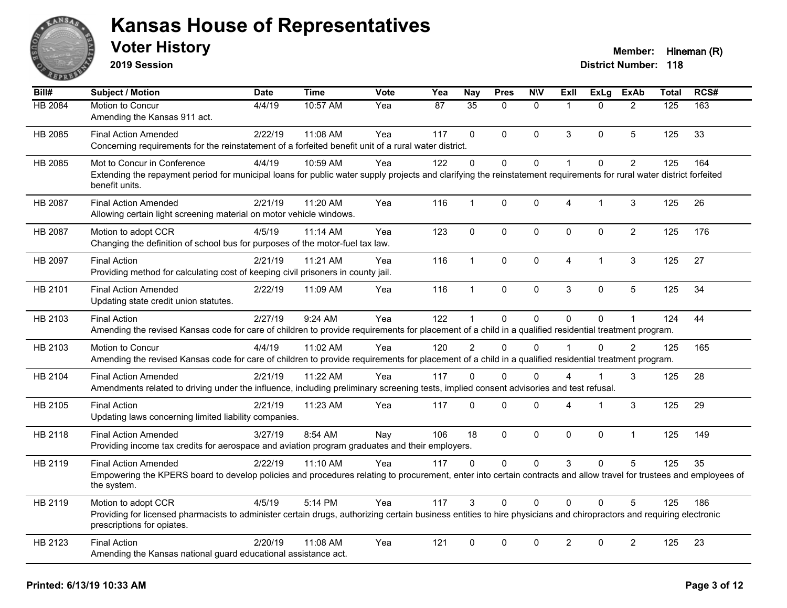

**2019 Session**

| $\overline{BiII#}$ | Subject / Motion                                                                                                                                                                                  | <b>Date</b> | <b>Time</b> | Vote | Yea | <b>Nay</b>    | <b>Pres</b> | <b>NIV</b>   | ExII           | <b>ExLg</b> | <b>ExAb</b>    | <b>Total</b> | RCS# |
|--------------------|---------------------------------------------------------------------------------------------------------------------------------------------------------------------------------------------------|-------------|-------------|------|-----|---------------|-------------|--------------|----------------|-------------|----------------|--------------|------|
| HB 2084            | Motion to Concur                                                                                                                                                                                  | 4/4/19      | 10:57 AM    | Yea  | 87  | 35            | $\Omega$    | $\mathbf{0}$ | $\overline{1}$ | $\Omega$    | $\overline{2}$ | 125          | 163  |
|                    | Amending the Kansas 911 act.                                                                                                                                                                      |             |             |      |     |               |             |              |                |             |                |              |      |
| HB 2085            | <b>Final Action Amended</b>                                                                                                                                                                       | 2/22/19     | 11:08 AM    | Yea  | 117 | $\Omega$      | $\Omega$    | $\mathbf{0}$ | 3              | $\Omega$    | 5              | 125          | 33   |
|                    | Concerning requirements for the reinstatement of a forfeited benefit unit of a rural water district.                                                                                              |             |             |      |     |               |             |              |                |             |                |              |      |
| HB 2085            | Mot to Concur in Conference                                                                                                                                                                       | 4/4/19      | 10:59 AM    | Yea  | 122 | $\Omega$      | $\Omega$    | $\mathbf 0$  | $\mathbf{1}$   | $\Omega$    | $\overline{2}$ | 125          | 164  |
|                    | Extending the repayment period for municipal loans for public water supply projects and clarifying the reinstatement requirements for rural water district forfeited<br>benefit units.            |             |             |      |     |               |             |              |                |             |                |              |      |
| HB 2087            | <b>Final Action Amended</b>                                                                                                                                                                       | 2/21/19     | 11:20 AM    | Yea  | 116 | 1             | $\mathbf 0$ | 0            | 4              | 1           | 3              | 125          | 26   |
|                    | Allowing certain light screening material on motor vehicle windows.                                                                                                                               |             |             |      |     |               |             |              |                |             |                |              |      |
| HB 2087            | Motion to adopt CCR                                                                                                                                                                               | 4/5/19      | 11:14 AM    | Yea  | 123 | $\mathbf 0$   | $\mathbf 0$ | $\pmb{0}$    | $\pmb{0}$      | 0           | $\overline{2}$ | 125          | 176  |
|                    | Changing the definition of school bus for purposes of the motor-fuel tax law.                                                                                                                     |             |             |      |     |               |             |              |                |             |                |              |      |
| HB 2097            | <b>Final Action</b>                                                                                                                                                                               | 2/21/19     | 11:21 AM    | Yea  | 116 | $\mathbf{1}$  | $\mathbf 0$ | $\pmb{0}$    | $\overline{4}$ | 1           | 3              | 125          | 27   |
|                    | Providing method for calculating cost of keeping civil prisoners in county jail.                                                                                                                  |             |             |      |     |               |             |              |                |             |                |              |      |
| HB 2101            | <b>Final Action Amended</b>                                                                                                                                                                       | 2/22/19     | 11:09 AM    | Yea  | 116 | $\mathbf{1}$  | $\mathbf 0$ | $\pmb{0}$    | 3              | $\mathbf 0$ | 5              | 125          | 34   |
|                    | Updating state credit union statutes.                                                                                                                                                             |             |             |      |     |               |             |              |                |             |                |              |      |
| HB 2103            | <b>Final Action</b>                                                                                                                                                                               | 2/27/19     | 9:24 AM     | Yea  | 122 | 1             | $\Omega$    | $\mathbf{0}$ | $\Omega$       | $\Omega$    | $\mathbf{1}$   | 124          | 44   |
|                    | Amending the revised Kansas code for care of children to provide requirements for placement of a child in a qualified residential treatment program.                                              |             |             |      |     |               |             |              |                |             |                |              |      |
| HB 2103            | Motion to Concur                                                                                                                                                                                  | 4/4/19      | 11:02 AM    | Yea  | 120 | $\mathcal{P}$ | $\Omega$    | $\Omega$     | $\overline{1}$ | $\Omega$    | $\overline{2}$ | 125          | 165  |
|                    | Amending the revised Kansas code for care of children to provide requirements for placement of a child in a qualified residential treatment program.                                              |             |             |      |     |               |             |              |                |             |                |              |      |
| HB 2104            | <b>Final Action Amended</b>                                                                                                                                                                       | 2/21/19     | 11:22 AM    | Yea  | 117 | $\Omega$      | $\Omega$    | $\Omega$     | 4              |             | 3              | 125          | 28   |
|                    | Amendments related to driving under the influence, including preliminary screening tests, implied consent advisories and test refusal.                                                            |             |             |      |     |               |             |              |                |             |                |              |      |
| HB 2105            | <b>Final Action</b>                                                                                                                                                                               | 2/21/19     | 11:23 AM    | Yea  | 117 | $\Omega$      | $\Omega$    | $\mathbf 0$  | 4              | 1           | 3              | 125          | 29   |
|                    | Updating laws concerning limited liability companies.                                                                                                                                             |             |             |      |     |               |             |              |                |             |                |              |      |
| HB 2118            | <b>Final Action Amended</b>                                                                                                                                                                       | 3/27/19     | 8:54 AM     | Nay  | 106 | 18            | $\Omega$    | $\mathbf{0}$ | $\mathbf{0}$   | $\Omega$    | $\mathbf{1}$   | 125          | 149  |
|                    | Providing income tax credits for aerospace and aviation program graduates and their employers.                                                                                                    |             |             |      |     |               |             |              |                |             |                |              |      |
| HB 2119            | <b>Final Action Amended</b>                                                                                                                                                                       | 2/22/19     | 11:10 AM    | Yea  | 117 | $\Omega$      | $\Omega$    | $\mathbf 0$  | 3              | $\Omega$    | 5              | 125          | 35   |
|                    | Empowering the KPERS board to develop policies and procedures relating to procurement, enter into certain contracts and allow travel for trustees and employees of<br>the system.                 |             |             |      |     |               |             |              |                |             |                |              |      |
| HB 2119            | Motion to adopt CCR                                                                                                                                                                               | 4/5/19      | 5:14 PM     | Yea  | 117 | 3             | $\Omega$    | $\Omega$     | $\Omega$       | $\Omega$    | 5              | 125          | 186  |
|                    | Providing for licensed pharmacists to administer certain drugs, authorizing certain business entities to hire physicians and chiropractors and requiring electronic<br>prescriptions for opiates. |             |             |      |     |               |             |              |                |             |                |              |      |
| HB 2123            | <b>Final Action</b>                                                                                                                                                                               | 2/20/19     | 11:08 AM    | Yea  | 121 | $\mathbf{0}$  | $\Omega$    | $\mathbf{0}$ | $\overline{c}$ | $\Omega$    | $\overline{2}$ | 125          | 23   |
|                    | Amending the Kansas national guard educational assistance act.                                                                                                                                    |             |             |      |     |               |             |              |                |             |                |              |      |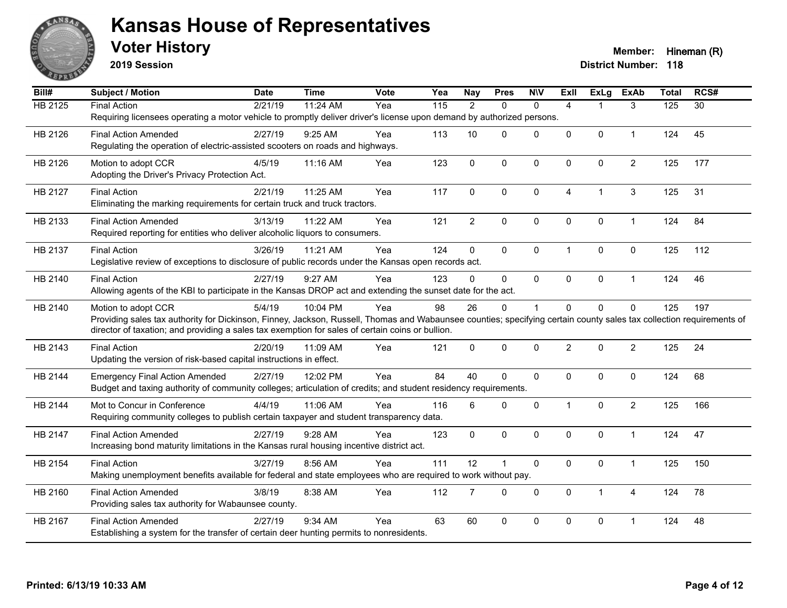

**2019 Session**

| Bill#          | Subject / Motion                                                                                                                                                                                                                                                         | <b>Date</b> | <b>Time</b> | <b>Vote</b> | Yea               | <b>Nay</b>     | <b>Pres</b>    | <b>NIV</b>  | ExII                 | <b>ExLg</b>    | <b>ExAb</b>    | <b>Total</b> | RCS#            |
|----------------|--------------------------------------------------------------------------------------------------------------------------------------------------------------------------------------------------------------------------------------------------------------------------|-------------|-------------|-------------|-------------------|----------------|----------------|-------------|----------------------|----------------|----------------|--------------|-----------------|
| <b>HB 2125</b> | <b>Final Action</b>                                                                                                                                                                                                                                                      | 2/21/19     | 11:24 AM    | Yea         | $\frac{115}{115}$ | $\overline{2}$ | $\mathbf{0}$   | $\Omega$    | $\overline{4}$       |                | 3              | 125          | $\overline{30}$ |
|                | Requiring licensees operating a motor vehicle to promptly deliver driver's license upon demand by authorized persons.                                                                                                                                                    |             |             |             |                   |                |                |             |                      |                |                |              |                 |
| HB 2126        | <b>Final Action Amended</b>                                                                                                                                                                                                                                              | 2/27/19     | 9:25 AM     | Yea         | 113               | 10             | $\Omega$       | $\Omega$    | $\Omega$             | $\mathbf{0}$   | $\mathbf{1}$   | 124          | 45              |
|                | Regulating the operation of electric-assisted scooters on roads and highways.                                                                                                                                                                                            |             |             |             |                   |                |                |             |                      |                |                |              |                 |
| HB 2126        | Motion to adopt CCR                                                                                                                                                                                                                                                      | 4/5/19      | 11:16 AM    | Yea         | 123               | $\mathbf 0$    | $\mathbf 0$    | 0           | $\Omega$             | $\mathbf 0$    | $\overline{2}$ | 125          | 177             |
|                | Adopting the Driver's Privacy Protection Act.                                                                                                                                                                                                                            |             |             |             |                   |                |                |             |                      |                |                |              |                 |
| HB 2127        | <b>Final Action</b>                                                                                                                                                                                                                                                      | 2/21/19     | 11:25 AM    | Yea         | 117               | $\mathbf 0$    | $\mathbf 0$    | 0           | 4                    | $\overline{1}$ | 3              | 125          | 31              |
|                | Eliminating the marking requirements for certain truck and truck tractors.                                                                                                                                                                                               |             |             |             |                   |                |                |             |                      |                |                |              |                 |
| HB 2133        | <b>Final Action Amended</b>                                                                                                                                                                                                                                              | 3/13/19     | 11:22 AM    | Yea         | 121               | $\overline{2}$ | $\mathbf 0$    | 0           | $\mathbf{0}$         | $\mathbf 0$    | $\mathbf{1}$   | 124          | 84              |
|                | Required reporting for entities who deliver alcoholic liquors to consumers.                                                                                                                                                                                              |             |             |             |                   |                |                |             |                      |                |                |              |                 |
| HB 2137        | <b>Final Action</b>                                                                                                                                                                                                                                                      | 3/26/19     | 11:21 AM    | Yea         | 124               | $\mathbf 0$    | $\mathbf{0}$   | $\mathbf 0$ | $\blacktriangleleft$ | $\mathbf{0}$   | $\mathbf 0$    | 125          | 112             |
|                | Legislative review of exceptions to disclosure of public records under the Kansas open records act.                                                                                                                                                                      |             |             |             |                   |                |                |             |                      |                |                |              |                 |
|                |                                                                                                                                                                                                                                                                          | 2/27/19     | 9:27 AM     |             | 123               | $\Omega$       | $\mathbf{0}$   |             | $\Omega$             |                |                |              | 46              |
| HB 2140        | <b>Final Action</b><br>Allowing agents of the KBI to participate in the Kansas DROP act and extending the sunset date for the act.                                                                                                                                       |             |             | Yea         |                   |                |                | $\mathbf 0$ |                      | $\mathbf 0$    | $\mathbf{1}$   | 124          |                 |
|                |                                                                                                                                                                                                                                                                          |             |             |             |                   |                |                |             |                      |                |                |              |                 |
| HB 2140        | Motion to adopt CCR                                                                                                                                                                                                                                                      | 5/4/19      | 10:04 PM    | Yea         | 98                | 26             | $\mathbf{0}$   | 1           | $\Omega$             | $\mathbf{0}$   | $\mathbf{0}$   | 125          | 197             |
|                | Providing sales tax authority for Dickinson, Finney, Jackson, Russell, Thomas and Wabaunsee counties; specifying certain county sales tax collection requirements of<br>director of taxation; and providing a sales tax exemption for sales of certain coins or bullion. |             |             |             |                   |                |                |             |                      |                |                |              |                 |
| HB 2143        | <b>Final Action</b>                                                                                                                                                                                                                                                      | 2/20/19     | 11:09 AM    | Yea         | 121               | $\mathbf 0$    | $\mathbf 0$    | 0           | $\overline{2}$       | $\mathbf 0$    | $\overline{2}$ | 125          | 24              |
|                | Updating the version of risk-based capital instructions in effect.                                                                                                                                                                                                       |             |             |             |                   |                |                |             |                      |                |                |              |                 |
|                |                                                                                                                                                                                                                                                                          |             |             |             |                   |                |                |             |                      |                |                |              |                 |
| HB 2144        | <b>Emergency Final Action Amended</b>                                                                                                                                                                                                                                    | 2/27/19     | 12:02 PM    | Yea         | 84                | 40             | $\Omega$       | $\Omega$    | $\Omega$             | $\mathbf{0}$   | $\mathbf{0}$   | 124          | 68              |
|                | Budget and taxing authority of community colleges; articulation of credits; and student residency requirements.                                                                                                                                                          |             |             |             |                   |                |                |             |                      |                |                |              |                 |
| HB 2144        | Mot to Concur in Conference                                                                                                                                                                                                                                              | 4/4/19      | 11:06 AM    | Yea         | 116               | 6              | $\mathbf{0}$   | $\mathbf 0$ | $\mathbf 1$          | $\mathbf 0$    | $\overline{c}$ | 125          | 166             |
|                | Requiring community colleges to publish certain taxpayer and student transparency data.                                                                                                                                                                                  |             |             |             |                   |                |                |             |                      |                |                |              |                 |
| HB 2147        | <b>Final Action Amended</b>                                                                                                                                                                                                                                              | 2/27/19     | 9:28 AM     | Yea         | 123               | $\mathbf 0$    | $\mathbf 0$    | 0           | $\Omega$             | $\mathbf 0$    | $\overline{1}$ | 124          | 47              |
|                | Increasing bond maturity limitations in the Kansas rural housing incentive district act.                                                                                                                                                                                 |             |             |             |                   |                |                |             |                      |                |                |              |                 |
| HB 2154        | <b>Final Action</b>                                                                                                                                                                                                                                                      | 3/27/19     | 8:56 AM     | Yea         | 111               | 12             | $\overline{1}$ | $\mathbf 0$ | $\Omega$             | $\mathbf 0$    | $\mathbf{1}$   | 125          | 150             |
|                | Making unemployment benefits available for federal and state employees who are required to work without pay.                                                                                                                                                             |             |             |             |                   |                |                |             |                      |                |                |              |                 |
| HB 2160        | <b>Final Action Amended</b>                                                                                                                                                                                                                                              | 3/8/19      | 8:38 AM     | Yea         | 112               | $\overline{7}$ | $\mathbf 0$    | $\mathbf 0$ | $\mathbf 0$          | $\mathbf{1}$   | $\overline{4}$ | 124          | 78              |
|                | Providing sales tax authority for Wabaunsee county.                                                                                                                                                                                                                      |             |             |             |                   |                |                |             |                      |                |                |              |                 |
| HB 2167        | <b>Final Action Amended</b>                                                                                                                                                                                                                                              | 2/27/19     | 9:34 AM     | Yea         | 63                | 60             | $\mathbf 0$    | 0           | $\Omega$             | $\pmb{0}$      | $\mathbf 1$    | 124          | 48              |
|                | Establishing a system for the transfer of certain deer hunting permits to nonresidents.                                                                                                                                                                                  |             |             |             |                   |                |                |             |                      |                |                |              |                 |
|                |                                                                                                                                                                                                                                                                          |             |             |             |                   |                |                |             |                      |                |                |              |                 |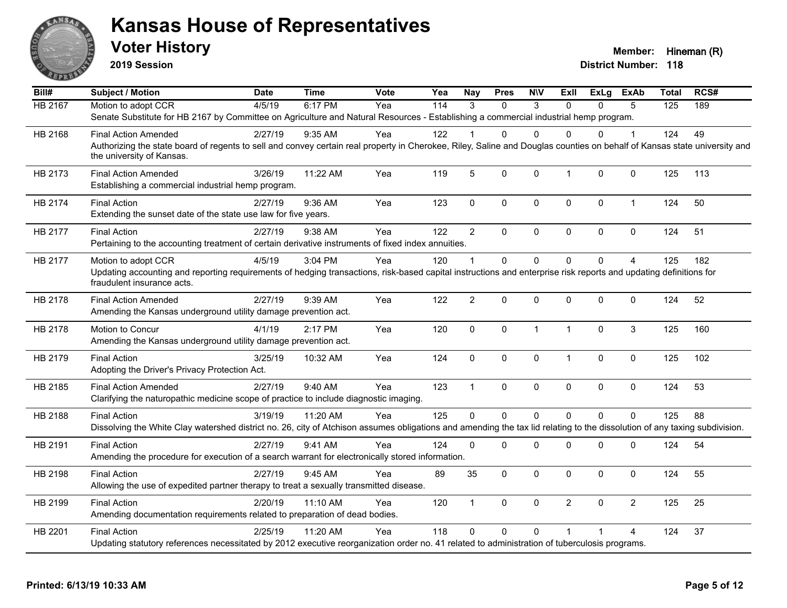

**2019 Session**

| Bill#          | <b>Subject / Motion</b>                                                                                                                                                                               | Date    | <b>Time</b> | Vote | Yea              | <b>Nay</b>     | <b>Pres</b>  | <b>NIV</b>   | Exll           | <b>ExLg</b>  | ExAb           | <b>Total</b> | RCS# |
|----------------|-------------------------------------------------------------------------------------------------------------------------------------------------------------------------------------------------------|---------|-------------|------|------------------|----------------|--------------|--------------|----------------|--------------|----------------|--------------|------|
| <b>HB 2167</b> | Motion to adopt CCR                                                                                                                                                                                   | 4/5/19  | 6:17 PM     | Yea  | $\overline{114}$ | 3              | $\Omega$     | 3            | $\Omega$       | $\Omega$     | 5              | 125          | 189  |
|                | Senate Substitute for HB 2167 by Committee on Agriculture and Natural Resources - Establishing a commercial industrial hemp program.                                                                  |         |             |      |                  |                |              |              |                |              |                |              |      |
| HB 2168        | <b>Final Action Amended</b>                                                                                                                                                                           | 2/27/19 | 9:35 AM     | Yea  | 122              |                | 0            | $\Omega$     | 0              | 0            |                | 124          | 49   |
|                | Authorizing the state board of regents to sell and convey certain real property in Cherokee, Riley, Saline and Douglas counties on behalf of Kansas state university and<br>the university of Kansas. |         |             |      |                  |                |              |              |                |              |                |              |      |
| HB 2173        | <b>Final Action Amended</b><br>Establishing a commercial industrial hemp program.                                                                                                                     | 3/26/19 | 11:22 AM    | Yea  | 119              | 5              | $\mathbf 0$  | $\mathbf 0$  | $\mathbf{1}$   | 0            | 0              | 125          | 113  |
| HB 2174        | <b>Final Action</b><br>Extending the sunset date of the state use law for five years.                                                                                                                 | 2/27/19 | 9:36 AM     | Yea  | 123              | $\mathbf 0$    | 0            | 0            | $\mathbf 0$    | 0            | $\mathbf{1}$   | 124          | 50   |
| HB 2177        | <b>Final Action</b>                                                                                                                                                                                   | 2/27/19 | 9:38 AM     | Yea  | 122              | $\overline{2}$ | 0            | $\mathbf 0$  | $\mathbf 0$    | 0            | $\mathbf 0$    | 124          | 51   |
|                | Pertaining to the accounting treatment of certain derivative instruments of fixed index annuities.                                                                                                    |         |             |      |                  |                |              |              |                |              |                |              |      |
| HB 2177        | Motion to adopt CCR                                                                                                                                                                                   | 4/5/19  | 3:04 PM     | Yea  | 120              | $\mathbf{1}$   | $\Omega$     | $\Omega$     | $\mathbf{0}$   | $\mathbf{0}$ | $\overline{4}$ | 125          | 182  |
|                | Updating accounting and reporting requirements of hedging transactions, risk-based capital instructions and enterprise risk reports and updating definitions for<br>fraudulent insurance acts.        |         |             |      |                  |                |              |              |                |              |                |              |      |
| HB 2178        | <b>Final Action Amended</b><br>Amending the Kansas underground utility damage prevention act.                                                                                                         | 2/27/19 | 9:39 AM     | Yea  | 122              | $\overline{2}$ | $\mathbf{0}$ | 0            | $\Omega$       | $\Omega$     | $\mathbf 0$    | 124          | 52   |
|                |                                                                                                                                                                                                       |         |             |      |                  |                |              |              |                |              |                |              |      |
| HB 2178        | Motion to Concur<br>Amending the Kansas underground utility damage prevention act.                                                                                                                    | 4/1/19  | 2:17 PM     | Yea  | 120              | $\mathbf{0}$   | $\mathbf{0}$ | $\mathbf{1}$ | $\overline{1}$ | $\Omega$     | 3              | 125          | 160  |
| HB 2179        | <b>Final Action</b><br>Adopting the Driver's Privacy Protection Act.                                                                                                                                  | 3/25/19 | 10:32 AM    | Yea  | 124              | $\mathbf 0$    | 0            | $\mathbf 0$  | $\overline{1}$ | 0            | 0              | 125          | 102  |
| HB 2185        | <b>Final Action Amended</b><br>Clarifying the naturopathic medicine scope of practice to include diagnostic imaging.                                                                                  | 2/27/19 | 9:40 AM     | Yea  | 123              | $\mathbf{1}$   | $\mathbf 0$  | $\mathbf 0$  | $\mathbf 0$    | 0            | $\mathbf 0$    | 124          | 53   |
| HB 2188        | <b>Final Action</b>                                                                                                                                                                                   | 3/19/19 | 11:20 AM    | Yea  | 125              | $\Omega$       | $\Omega$     | $\mathbf 0$  | $\Omega$       | $\Omega$     | $\Omega$       | 125          | 88   |
|                | Dissolving the White Clay watershed district no. 26, city of Atchison assumes obligations and amending the tax lid relating to the dissolution of any taxing subdivision.                             |         |             |      |                  |                |              |              |                |              |                |              |      |
| HB 2191        | <b>Final Action</b>                                                                                                                                                                                   | 2/27/19 | 9:41 AM     | Yea  | 124              | $\mathbf{0}$   | $\Omega$     | $\Omega$     | $\mathbf{0}$   | 0            | 0              | 124          | 54   |
|                | Amending the procedure for execution of a search warrant for electronically stored information.                                                                                                       |         |             |      |                  |                |              |              |                |              |                |              |      |
| HB 2198        | <b>Final Action</b>                                                                                                                                                                                   | 2/27/19 | 9:45 AM     | Yea  | 89               | 35             | $\Omega$     | $\mathbf{0}$ | $\mathbf{0}$   | $\Omega$     | $\Omega$       | 124          | 55   |
|                | Allowing the use of expedited partner therapy to treat a sexually transmitted disease.                                                                                                                |         |             |      |                  |                |              |              |                |              |                |              |      |
| HB 2199        | <b>Final Action</b>                                                                                                                                                                                   | 2/20/19 | $11:10$ AM  | Yea  | 120              | $\mathbf{1}$   | $\mathbf 0$  | $\mathbf 0$  | $\overline{2}$ | 0            | $\overline{2}$ | 125          | 25   |
|                | Amending documentation requirements related to preparation of dead bodies.                                                                                                                            |         |             |      |                  |                |              |              |                |              |                |              |      |
| HB 2201        | <b>Final Action</b>                                                                                                                                                                                   | 2/25/19 | 11:20 AM    | Yea  | 118              | $\Omega$       | $\Omega$     | $\Omega$     | $\overline{1}$ |              | 4              | 124          | 37   |
|                | Updating statutory references necessitated by 2012 executive reorganization order no. 41 related to administration of tuberculosis programs.                                                          |         |             |      |                  |                |              |              |                |              |                |              |      |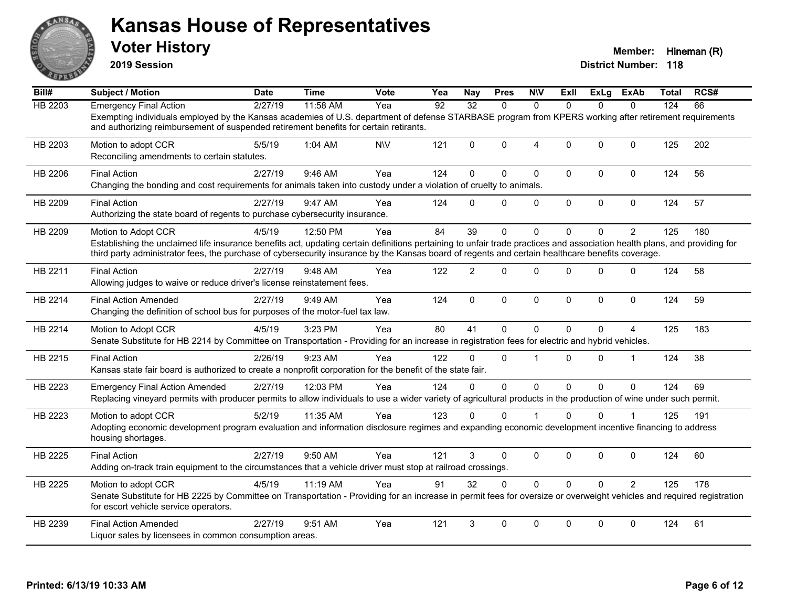

**2019 Session**

| Bill#          | Subject / Motion                                                                                                                                                                                                                                                                                                                                     | Date    | <b>Time</b> | Vote      | Yea | <b>Nay</b>      | <b>Pres</b> | <b>NIV</b>     | ExII         |              | ExLg ExAb      | Total | RCS# |
|----------------|------------------------------------------------------------------------------------------------------------------------------------------------------------------------------------------------------------------------------------------------------------------------------------------------------------------------------------------------------|---------|-------------|-----------|-----|-----------------|-------------|----------------|--------------|--------------|----------------|-------|------|
| <b>HB 2203</b> | <b>Emergency Final Action</b>                                                                                                                                                                                                                                                                                                                        | 2/27/19 | 11:58 AM    | Yea       | 92  | $\overline{32}$ | $\Omega$    | $\Omega$       | $\Omega$     | $\Omega$     | $\Omega$       | 124   | 66   |
|                | Exempting individuals employed by the Kansas academies of U.S. department of defense STARBASE program from KPERS working after retirement requirements<br>and authorizing reimbursement of suspended retirement benefits for certain retirants.                                                                                                      |         |             |           |     |                 |             |                |              |              |                |       |      |
| HB 2203        | Motion to adopt CCR<br>Reconciling amendments to certain statutes.                                                                                                                                                                                                                                                                                   | 5/5/19  | 1:04 AM     | <b>NV</b> | 121 | $\Omega$        | $\Omega$    | $\overline{4}$ | $\Omega$     | $\Omega$     | $\Omega$       | 125   | 202  |
| HB 2206        | <b>Final Action</b><br>Changing the bonding and cost requirements for animals taken into custody under a violation of cruelty to animals.                                                                                                                                                                                                            | 2/27/19 | 9:46 AM     | Yea       | 124 | $\Omega$        | $\Omega$    | $\mathbf 0$    | $\Omega$     | 0            | $\mathbf 0$    | 124   | 56   |
| HB 2209        | <b>Final Action</b><br>Authorizing the state board of regents to purchase cybersecurity insurance.                                                                                                                                                                                                                                                   | 2/27/19 | 9:47 AM     | Yea       | 124 | $\Omega$        | $\Omega$    | $\mathbf 0$    | $\Omega$     | $\Omega$     | $\mathbf 0$    | 124   | 57   |
| HB 2209        | Motion to Adopt CCR<br>Establishing the unclaimed life insurance benefits act, updating certain definitions pertaining to unfair trade practices and association health plans, and providing for<br>third party administrator fees, the purchase of cybersecurity insurance by the Kansas board of regents and certain healthcare benefits coverage. | 4/5/19  | 12:50 PM    | Yea       | 84  | 39              | $\Omega$    | $\mathbf{0}$   | $\Omega$     | 0            | $\overline{2}$ | 125   | 180  |
| HB 2211        | <b>Final Action</b><br>Allowing judges to waive or reduce driver's license reinstatement fees.                                                                                                                                                                                                                                                       | 2/27/19 | 9:48 AM     | Yea       | 122 | $\mathfrak{p}$  | $\Omega$    | $\mathbf{0}$   | $\Omega$     | $\Omega$     | $\Omega$       | 124   | 58   |
| HB 2214        | <b>Final Action Amended</b><br>Changing the definition of school bus for purposes of the motor-fuel tax law.                                                                                                                                                                                                                                         | 2/27/19 | 9:49 AM     | Yea       | 124 | $\mathbf{0}$    | $\Omega$    | $\mathbf{0}$   | $\Omega$     | $\Omega$     | $\Omega$       | 124   | 59   |
| HB 2214        | Motion to Adopt CCR<br>Senate Substitute for HB 2214 by Committee on Transportation - Providing for an increase in registration fees for electric and hybrid vehicles.                                                                                                                                                                               | 4/5/19  | 3:23 PM     | Yea       | 80  | 41              | $\Omega$    | $\mathbf{0}$   | $\Omega$     | $\Omega$     | 4              | 125   | 183  |
| HB 2215        | <b>Final Action</b><br>Kansas state fair board is authorized to create a nonprofit corporation for the benefit of the state fair.                                                                                                                                                                                                                    | 2/26/19 | 9:23 AM     | Yea       | 122 | 0               | $\Omega$    |                | $\Omega$     | $\mathbf{0}$ | 1              | 124   | 38   |
| HB 2223        | <b>Emergency Final Action Amended</b><br>Replacing vineyard permits with producer permits to allow individuals to use a wider variety of agricultural products in the production of wine under such permit.                                                                                                                                          | 2/27/19 | 12:03 PM    | Yea       | 124 | $\Omega$        | $\Omega$    | $\mathbf 0$    | $\mathbf{0}$ | $\Omega$     | $\mathbf 0$    | 124   | 69   |
| HB 2223        | Motion to adopt CCR<br>Adopting economic development program evaluation and information disclosure regimes and expanding economic development incentive financing to address<br>housing shortages.                                                                                                                                                   | 5/2/19  | 11:35 AM    | Yea       | 123 | $\Omega$        | $\Omega$    |                | $\Omega$     | $\Omega$     | 1              | 125   | 191  |
| HB 2225        | <b>Final Action</b><br>Adding on-track train equipment to the circumstances that a vehicle driver must stop at railroad crossings.                                                                                                                                                                                                                   | 2/27/19 | 9:50 AM     | Yea       | 121 | 3               | $\Omega$    | $\mathbf{0}$   | $\Omega$     | $\Omega$     | $\Omega$       | 124   | 60   |
| HB 2225        | Motion to adopt CCR<br>Senate Substitute for HB 2225 by Committee on Transportation - Providing for an increase in permit fees for oversize or overweight vehicles and required registration<br>for escort vehicle service operators.                                                                                                                | 4/5/19  | 11:19 AM    | Yea       | 91  | 32              | $\Omega$    | $\mathbf 0$    | $\Omega$     | $\Omega$     | 2              | 125   | 178  |
| HB 2239        | <b>Final Action Amended</b><br>Liquor sales by licensees in common consumption areas.                                                                                                                                                                                                                                                                | 2/27/19 | 9:51 AM     | Yea       | 121 | 3               | $\Omega$    | $\mathbf{0}$   | $\Omega$     | $\mathbf{0}$ | $\Omega$       | 124   | 61   |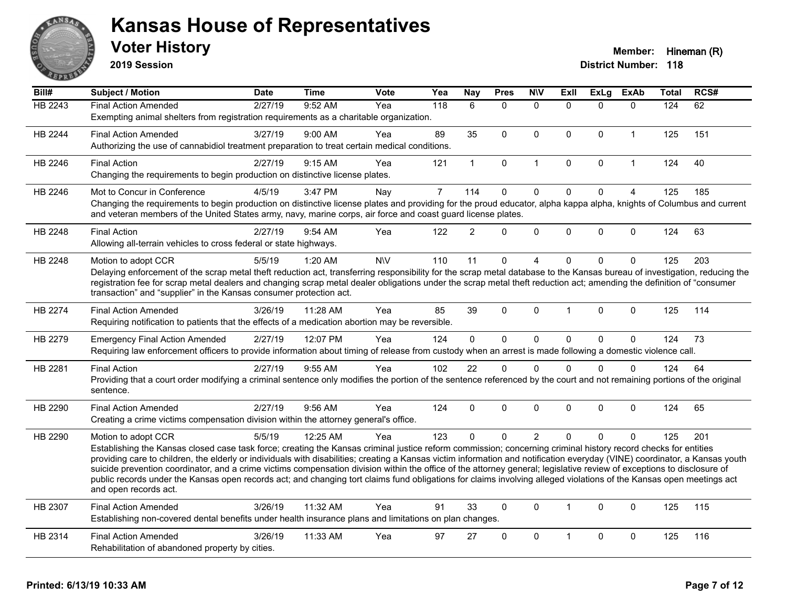

**2019 Session**

| Bill#   | <b>Subject / Motion</b>                                                                                                                                                                                                                                                                                                                               | <b>Date</b> | <b>Time</b> | <b>Vote</b> | Yea            | Nay            | <b>Pres</b>  | <b>NIV</b>     | ExII                 | ExLg         | <b>ExAb</b>    | <b>Total</b> | RCS# |
|---------|-------------------------------------------------------------------------------------------------------------------------------------------------------------------------------------------------------------------------------------------------------------------------------------------------------------------------------------------------------|-------------|-------------|-------------|----------------|----------------|--------------|----------------|----------------------|--------------|----------------|--------------|------|
| HB 2243 | <b>Final Action Amended</b>                                                                                                                                                                                                                                                                                                                           | 2/27/19     | 9:52 AM     | Yea         | 118            | 6              | $\mathbf{0}$ | $\mathbf{0}$   | $\Omega$             | $\Omega$     | $\mathbf{0}$   | 124          | 62   |
|         | Exempting animal shelters from registration requirements as a charitable organization.                                                                                                                                                                                                                                                                |             |             |             |                |                |              |                |                      |              |                |              |      |
| HB 2244 | <b>Final Action Amended</b>                                                                                                                                                                                                                                                                                                                           | 3/27/19     | $9:00$ AM   | Yea         | 89             | 35             | $\mathbf{0}$ | $\Omega$       | $\Omega$             | $\mathbf{0}$ | $\mathbf{1}$   | 125          | 151  |
|         | Authorizing the use of cannabidiol treatment preparation to treat certain medical conditions.                                                                                                                                                                                                                                                         |             |             |             |                |                |              |                |                      |              |                |              |      |
| HB 2246 | <b>Final Action</b>                                                                                                                                                                                                                                                                                                                                   | 2/27/19     | 9:15 AM     | Yea         | 121            | $\mathbf{1}$   | $\mathbf 0$  | $\mathbf{1}$   | $\mathbf{0}$         | $\mathbf 0$  | $\mathbf{1}$   | 124          | 40   |
|         | Changing the requirements to begin production on distinctive license plates.                                                                                                                                                                                                                                                                          |             |             |             |                |                |              |                |                      |              |                |              |      |
| HB 2246 | Mot to Concur in Conference                                                                                                                                                                                                                                                                                                                           | 4/5/19      | 3:47 PM     | Nay         | $\overline{7}$ | 114            | $\mathbf 0$  | $\pmb{0}$      | $\Omega$             | $\mathbf{0}$ | $\overline{4}$ | 125          | 185  |
|         | Changing the requirements to begin production on distinctive license plates and providing for the proud educator, alpha kappa alpha, knights of Columbus and current<br>and veteran members of the United States army, navy, marine corps, air force and coast guard license plates.                                                                  |             |             |             |                |                |              |                |                      |              |                |              |      |
| HB 2248 | <b>Final Action</b>                                                                                                                                                                                                                                                                                                                                   | 2/27/19     | 9:54 AM     | Yea         | 122            | $\overline{2}$ | $\Omega$     | $\mathbf 0$    | 0                    | $\pmb{0}$    | $\pmb{0}$      | 124          | 63   |
|         | Allowing all-terrain vehicles to cross federal or state highways.                                                                                                                                                                                                                                                                                     |             |             |             |                |                |              |                |                      |              |                |              |      |
| HB 2248 | Motion to adopt CCR                                                                                                                                                                                                                                                                                                                                   | 5/5/19      | 1:20 AM     | <b>NV</b>   | 110            | 11             | $\mathbf 0$  | 4              | $\Omega$             | $\mathbf 0$  | $\mathbf 0$    | 125          | 203  |
|         | Delaying enforcement of the scrap metal theft reduction act, transferring responsibility for the scrap metal database to the Kansas bureau of investigation, reducing the                                                                                                                                                                             |             |             |             |                |                |              |                |                      |              |                |              |      |
|         | registration fee for scrap metal dealers and changing scrap metal dealer obligations under the scrap metal theft reduction act; amending the definition of "consumer<br>transaction" and "supplier" in the Kansas consumer protection act.                                                                                                            |             |             |             |                |                |              |                |                      |              |                |              |      |
|         |                                                                                                                                                                                                                                                                                                                                                       |             |             |             |                |                |              |                |                      |              |                |              |      |
| HB 2274 | <b>Final Action Amended</b>                                                                                                                                                                                                                                                                                                                           | 3/26/19     | 11:28 AM    | Yea         | 85             | 39             | $\Omega$     | $\Omega$       | -1                   | $\Omega$     | $\mathbf 0$    | 125          | 114  |
|         | Requiring notification to patients that the effects of a medication abortion may be reversible.                                                                                                                                                                                                                                                       |             |             |             |                |                |              |                |                      |              |                |              |      |
| HB 2279 | <b>Emergency Final Action Amended</b>                                                                                                                                                                                                                                                                                                                 | 2/27/19     | 12:07 PM    | Yea         | 124            | $\mathbf 0$    | $\mathbf 0$  | $\pmb{0}$      | $\Omega$             | $\pmb{0}$    | $\mathbf 0$    | 124          | 73   |
|         | Requiring law enforcement officers to provide information about timing of release from custody when an arrest is made following a domestic violence call.                                                                                                                                                                                             |             |             |             |                |                |              |                |                      |              |                |              |      |
| HB 2281 | <b>Final Action</b>                                                                                                                                                                                                                                                                                                                                   | 2/27/19     | 9:55 AM     | Yea         | 102            | 22             | $\mathbf{0}$ | $\mathbf{0}$   | $\Omega$             | $\Omega$     | $\mathbf{0}$   | 124          | 64   |
|         | Providing that a court order modifying a criminal sentence only modifies the portion of the sentence referenced by the court and not remaining portions of the original                                                                                                                                                                               |             |             |             |                |                |              |                |                      |              |                |              |      |
|         | sentence.                                                                                                                                                                                                                                                                                                                                             |             |             |             |                |                |              |                |                      |              |                |              |      |
| HB 2290 | <b>Final Action Amended</b>                                                                                                                                                                                                                                                                                                                           | 2/27/19     | 9:56 AM     | Yea         | 124            | $\Omega$       | $\mathbf{0}$ | 0              | $\Omega$             | $\mathbf{0}$ | $\mathbf{0}$   | 124          | 65   |
|         | Creating a crime victims compensation division within the attorney general's office.                                                                                                                                                                                                                                                                  |             |             |             |                |                |              |                |                      |              |                |              |      |
| HB 2290 | Motion to adopt CCR                                                                                                                                                                                                                                                                                                                                   | 5/5/19      | 12:25 AM    | Yea         | 123            | $\Omega$       | $\Omega$     | $\overline{2}$ | $\Omega$             | $\mathbf 0$  | $\mathbf{0}$   | 125          | 201  |
|         | Establishing the Kansas closed case task force; creating the Kansas criminal justice reform commission; concerning criminal history record checks for entities                                                                                                                                                                                        |             |             |             |                |                |              |                |                      |              |                |              |      |
|         | providing care to children, the elderly or individuals with disabilities; creating a Kansas victim information and notification everyday (VINE) coordinator, a Kansas youth<br>suicide prevention coordinator, and a crime victims compensation division within the office of the attorney general; legislative review of exceptions to disclosure of |             |             |             |                |                |              |                |                      |              |                |              |      |
|         | public records under the Kansas open records act; and changing tort claims fund obligations for claims involving alleged violations of the Kansas open meetings act                                                                                                                                                                                   |             |             |             |                |                |              |                |                      |              |                |              |      |
|         | and open records act.                                                                                                                                                                                                                                                                                                                                 |             |             |             |                |                |              |                |                      |              |                |              |      |
| HB 2307 | <b>Final Action Amended</b>                                                                                                                                                                                                                                                                                                                           | 3/26/19     | 11:32 AM    | Yea         | 91             | 33             | $\Omega$     | $\Omega$       | $\blacktriangleleft$ | $\mathbf 0$  | $\mathbf{0}$   | 125          | 115  |
|         | Establishing non-covered dental benefits under health insurance plans and limitations on plan changes.                                                                                                                                                                                                                                                |             |             |             |                |                |              |                |                      |              |                |              |      |
| HB 2314 | <b>Final Action Amended</b>                                                                                                                                                                                                                                                                                                                           | 3/26/19     | 11:33 AM    | Yea         | 97             | 27             | $\mathbf 0$  | 0              |                      | 0            | $\mathbf 0$    | 125          | 116  |
|         | Rehabilitation of abandoned property by cities.                                                                                                                                                                                                                                                                                                       |             |             |             |                |                |              |                |                      |              |                |              |      |
|         |                                                                                                                                                                                                                                                                                                                                                       |             |             |             |                |                |              |                |                      |              |                |              |      |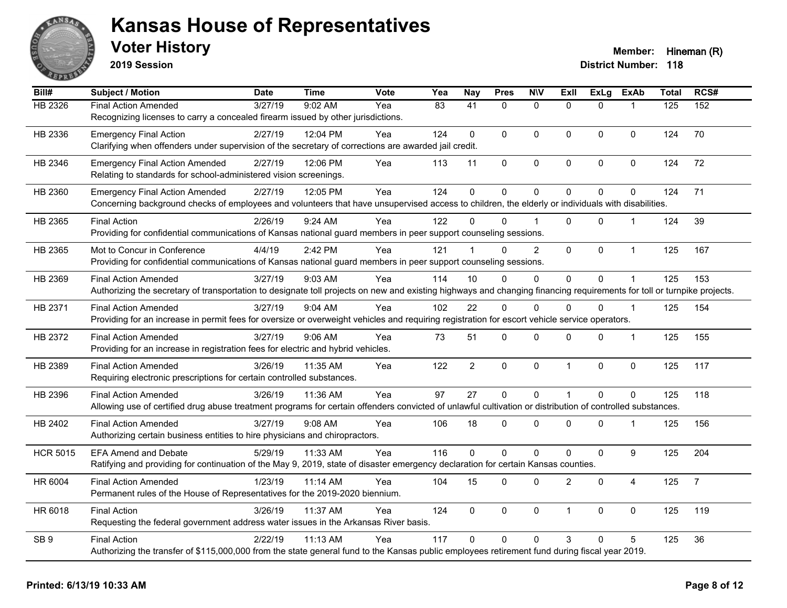

**2019 Session**

| Bill#           | <b>Subject / Motion</b>                                                                                                                                                | <b>Date</b> | <b>Time</b> | Vote | Yea             | <b>Nay</b>      | <b>Pres</b> | <b>N\V</b>     | Exll                 | <b>ExLg</b>    | <b>ExAb</b>    | <b>Total</b> | RCS#           |
|-----------------|------------------------------------------------------------------------------------------------------------------------------------------------------------------------|-------------|-------------|------|-----------------|-----------------|-------------|----------------|----------------------|----------------|----------------|--------------|----------------|
| HB 2326         | <b>Final Action Amended</b>                                                                                                                                            | 3/27/19     | 9:02 AM     | Yea  | $\overline{83}$ | $\overline{41}$ | $\Omega$    | $\mathbf{0}$   | $\Omega$             | $\Omega$       |                | 125          | 152            |
|                 | Recognizing licenses to carry a concealed firearm issued by other jurisdictions.                                                                                       |             |             |      |                 |                 |             |                |                      |                |                |              |                |
| HB 2336         | <b>Emergency Final Action</b>                                                                                                                                          | 2/27/19     | 12:04 PM    | Yea  | 124             | $\Omega$        | $\Omega$    | $\mathbf{0}$   | $\Omega$             | $\Omega$       | $\mathbf 0$    | 124          | 70             |
|                 | Clarifying when offenders under supervision of the secretary of corrections are awarded jail credit.                                                                   |             |             |      |                 |                 |             |                |                      |                |                |              |                |
| HB 2346         | <b>Emergency Final Action Amended</b>                                                                                                                                  | 2/27/19     | 12:06 PM    | Yea  | 113             | 11              | 0           | $\pmb{0}$      | 0                    | 0              | $\pmb{0}$      | 124          | 72             |
|                 | Relating to standards for school-administered vision screenings.                                                                                                       |             |             |      |                 |                 |             |                |                      |                |                |              |                |
| HB 2360         | <b>Emergency Final Action Amended</b>                                                                                                                                  | 2/27/19     | 12:05 PM    | Yea  | 124             | $\mathbf 0$     | 0           | $\mathbf 0$    | $\Omega$             | $\Omega$       | $\mathbf 0$    | 124          | 71             |
|                 | Concerning background checks of employees and volunteers that have unsupervised access to children, the elderly or individuals with disabilities.                      |             |             |      |                 |                 |             |                |                      |                |                |              |                |
| HB 2365         | <b>Final Action</b>                                                                                                                                                    | 2/26/19     | $9:24$ AM   | Yea  | 122             | 0               | $\Omega$    |                | $\Omega$             | $\Omega$       | $\mathbf{1}$   | 124          | 39             |
|                 | Providing for confidential communications of Kansas national guard members in peer support counseling sessions.                                                        |             |             |      |                 |                 |             |                |                      |                |                |              |                |
| HB 2365         | Mot to Concur in Conference                                                                                                                                            | 4/4/19      | 2:42 PM     | Yea  | 121             |                 | 0           | $\overline{2}$ | $\mathbf 0$          | 0              | $\mathbf{1}$   | 125          | 167            |
|                 | Providing for confidential communications of Kansas national guard members in peer support counseling sessions.                                                        |             |             |      |                 |                 |             |                |                      |                |                |              |                |
| HB 2369         | <b>Final Action Amended</b>                                                                                                                                            | 3/27/19     | 9:03 AM     | Yea  | 114             | 10              | 0           | 0              | $\mathbf 0$          | 0              |                | 125          | 153            |
|                 | Authorizing the secretary of transportation to designate toll projects on new and existing highways and changing financing requirements for toll or turnpike projects. |             |             |      |                 |                 |             |                |                      |                |                |              |                |
| HB 2371         | <b>Final Action Amended</b>                                                                                                                                            | 3/27/19     | 9:04 AM     | Yea  | 102             | 22              | $\Omega$    | $\Omega$       | $\Omega$             | $\Omega$       | 1              | 125          | 154            |
|                 | Providing for an increase in permit fees for oversize or overweight vehicles and requiring registration for escort vehicle service operators.                          |             |             |      |                 |                 |             |                |                      |                |                |              |                |
| HB 2372         | Final Action Amended                                                                                                                                                   | 3/27/19     | 9:06 AM     | Yea  | 73              | 51              | 0           | 0              | 0                    | 0              | 1              | 125          | 155            |
|                 | Providing for an increase in registration fees for electric and hybrid vehicles.                                                                                       |             |             |      |                 |                 |             |                |                      |                |                |              |                |
| HB 2389         | <b>Final Action Amended</b>                                                                                                                                            | 3/26/19     | 11:35 AM    | Yea  | 122             | $\overline{2}$  | 0           | $\mathbf 0$    | $\mathbf{1}$         | $\mathbf 0$    | $\mathbf 0$    | 125          | 117            |
|                 | Requiring electronic prescriptions for certain controlled substances.                                                                                                  |             |             |      |                 |                 |             |                |                      |                |                |              |                |
| HB 2396         | <b>Final Action Amended</b>                                                                                                                                            | 3/26/19     | 11:36 AM    | Yea  | 97              | 27              | $\mathbf 0$ | $\mathbf 0$    | 1                    | $\overline{0}$ | $\mathbf{0}$   | 125          | 118            |
|                 | Allowing use of certified drug abuse treatment programs for certain offenders convicted of unlawful cultivation or distribution of controlled substances.              |             |             |      |                 |                 |             |                |                      |                |                |              |                |
| HB 2402         | <b>Final Action Amended</b>                                                                                                                                            | 3/27/19     | 9:08 AM     | Yea  | 106             | 18              | 0           | $\mathbf 0$    | $\mathbf{0}$         | $\Omega$       | $\mathbf{1}$   | 125          | 156            |
|                 | Authorizing certain business entities to hire physicians and chiropractors.                                                                                            |             |             |      |                 |                 |             |                |                      |                |                |              |                |
| <b>HCR 5015</b> | <b>EFA Amend and Debate</b>                                                                                                                                            | 5/29/19     | 11:33 AM    | Yea  | 116             | $\Omega$        | 0           | $\mathbf 0$    | $\Omega$             | $\mathbf 0$    | 9              | 125          | 204            |
|                 | Ratifying and providing for continuation of the May 9, 2019, state of disaster emergency declaration for certain Kansas counties.                                      |             |             |      |                 |                 |             |                |                      |                |                |              |                |
| HR 6004         | <b>Final Action Amended</b>                                                                                                                                            | 1/23/19     | 11:14 AM    | Yea  | 104             | 15              | 0           | $\mathbf 0$    | $\overline{2}$       | $\mathbf 0$    | $\overline{4}$ | 125          | $\overline{7}$ |
|                 | Permanent rules of the House of Representatives for the 2019-2020 biennium.                                                                                            |             |             |      |                 |                 |             |                |                      |                |                |              |                |
| HR 6018         | <b>Final Action</b>                                                                                                                                                    | 3/26/19     | 11:37 AM    | Yea  | 124             | $\mathbf 0$     | 0           | $\mathbf 0$    | $\blacktriangleleft$ | $\Omega$       | $\mathbf 0$    | 125          | 119            |
|                 | Requesting the federal government address water issues in the Arkansas River basis.                                                                                    |             |             |      |                 |                 |             |                |                      |                |                |              |                |
| SB <sub>9</sub> | <b>Final Action</b>                                                                                                                                                    | 2/22/19     | 11:13 AM    | Yea  | 117             | $\Omega$        | $\Omega$    | $\Omega$       | 3                    | $\Omega$       | 5              | 125          | 36             |
|                 | Authorizing the transfer of \$115,000,000 from the state general fund to the Kansas public employees retirement fund during fiscal year 2019.                          |             |             |      |                 |                 |             |                |                      |                |                |              |                |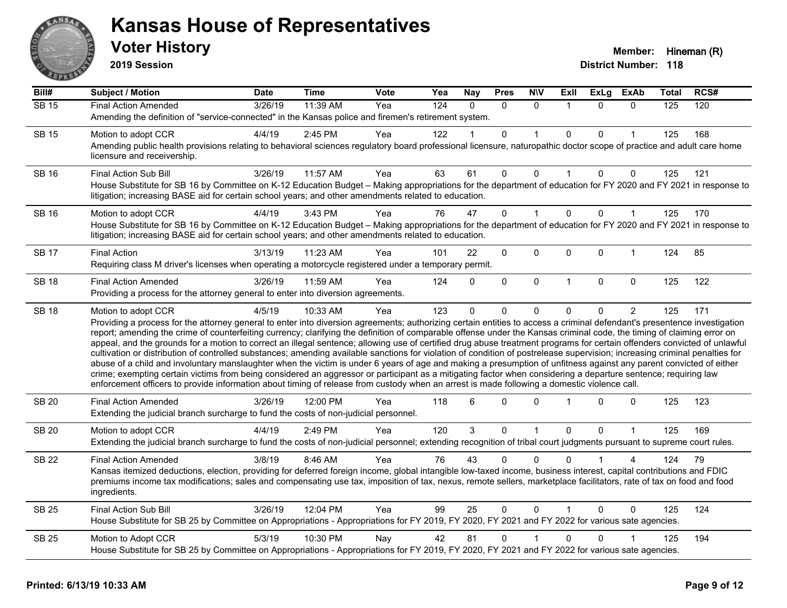

**2019 Session**

| Bill#        | <b>Subject / Motion</b>                                                                                                                                                                                                                                                                                                                                 | <b>Date</b> | <b>Time</b> | Vote | Yea | <b>Nay</b> | <b>Pres</b>    | <b>NIV</b>     | ExII         | <b>ExLg</b>  | <b>ExAb</b>  | Total | RCS# |
|--------------|---------------------------------------------------------------------------------------------------------------------------------------------------------------------------------------------------------------------------------------------------------------------------------------------------------------------------------------------------------|-------------|-------------|------|-----|------------|----------------|----------------|--------------|--------------|--------------|-------|------|
| <b>SB 15</b> | <b>Final Action Amended</b>                                                                                                                                                                                                                                                                                                                             | 3/26/19     | 11:39 AM    | Yea  | 124 | $\Omega$   | $\Omega$       | $\mathbf{0}$   | $\mathbf 1$  | $\Omega$     | $\mathbf{0}$ | 125   | 120  |
|              | Amending the definition of "service-connected" in the Kansas police and firemen's retirement system.                                                                                                                                                                                                                                                    |             |             |      |     |            |                |                |              |              |              |       |      |
| <b>SB 15</b> | Motion to adopt CCR                                                                                                                                                                                                                                                                                                                                     | 4/4/19      | 2:45 PM     | Yea  | 122 |            | 0              |                | $\mathbf 0$  | $\Omega$     |              | 125   | 168  |
|              | Amending public health provisions relating to behavioral sciences regulatory board professional licensure, naturopathic doctor scope of practice and adult care home<br>licensure and receivership.                                                                                                                                                     |             |             |      |     |            |                |                |              |              |              |       |      |
| <b>SB 16</b> | Final Action Sub Bill                                                                                                                                                                                                                                                                                                                                   | 3/26/19     | 11:57 AM    | Yea  | 63  | 61         | $\mathbf 0$    | $\Omega$       | 1            | $\Omega$     | 0            | 125   | 121  |
|              | House Substitute for SB 16 by Committee on K-12 Education Budget - Making appropriations for the department of education for FY 2020 and FY 2021 in response to<br>litigation; increasing BASE aid for certain school years; and other amendments related to education.                                                                                 |             |             |      |     |            |                |                |              |              |              |       |      |
| <b>SB 16</b> | Motion to adopt CCR                                                                                                                                                                                                                                                                                                                                     | 4/4/19      | 3:43 PM     | Yea  | 76  | 47         | $\overline{0}$ | 1              | $\mathbf 0$  | $\Omega$     | $\mathbf{1}$ | 125   | 170  |
|              | House Substitute for SB 16 by Committee on K-12 Education Budget - Making appropriations for the department of education for FY 2020 and FY 2021 in response to<br>litigation; increasing BASE aid for certain school years; and other amendments related to education.                                                                                 |             |             |      |     |            |                |                |              |              |              |       |      |
| <b>SB 17</b> | <b>Final Action</b>                                                                                                                                                                                                                                                                                                                                     | 3/13/19     | 11:23 AM    | Yea  | 101 | 22         | 0              | 0              | 0            | 0            | 1            | 124   | 85   |
|              | Requiring class M driver's licenses when operating a motorcycle registered under a temporary permit.                                                                                                                                                                                                                                                    |             |             |      |     |            |                |                |              |              |              |       |      |
| <b>SB 18</b> | <b>Final Action Amended</b>                                                                                                                                                                                                                                                                                                                             | 3/26/19     | 11:59 AM    | Yea  | 124 | $\Omega$   | 0              | 0              | $\mathbf{1}$ | $\mathbf{0}$ | $\mathbf 0$  | 125   | 122  |
|              | Providing a process for the attorney general to enter into diversion agreements.                                                                                                                                                                                                                                                                        |             |             |      |     |            |                |                |              |              |              |       |      |
| <b>SB 18</b> | Motion to adopt CCR                                                                                                                                                                                                                                                                                                                                     | 4/5/19      | 10:33 AM    | Yea  | 123 | $\Omega$   | 0              | $\Omega$       | $\mathbf{0}$ | $\Omega$     | 2            | 125   | 171  |
|              | Providing a process for the attorney general to enter into diversion agreements; authorizing certain entities to access a criminal defendant's presentence investigation<br>report; amending the crime of counterfeiting currency; clarifying the definition of comparable offense under the Kansas criminal code, the timing of claiming error on      |             |             |      |     |            |                |                |              |              |              |       |      |
|              | appeal, and the grounds for a motion to correct an illegal sentence; allowing use of certified drug abuse treatment programs for certain offenders convicted of unlawful<br>cultivation or distribution of controlled substances; amending available sanctions for violation of condition of postrelease supervision; increasing criminal penalties for |             |             |      |     |            |                |                |              |              |              |       |      |
|              | abuse of a child and involuntary manslaughter when the victim is under 6 years of age and making a presumption of unfitness against any parent convicted of either                                                                                                                                                                                      |             |             |      |     |            |                |                |              |              |              |       |      |
|              | crime; exempting certain victims from being considered an aggressor or participant as a mitigating factor when considering a departure sentence; requiring law<br>enforcement officers to provide information about timing of release from custody when an arrest is made following a domestic violence call.                                           |             |             |      |     |            |                |                |              |              |              |       |      |
| <b>SB 20</b> | <b>Final Action Amended</b>                                                                                                                                                                                                                                                                                                                             | 3/26/19     | 12:00 PM    | Yea  | 118 | 6          | 0              | $\mathbf{0}$   |              | $\Omega$     | 0            | 125   | 123  |
|              | Extending the judicial branch surcharge to fund the costs of non-judicial personnel.                                                                                                                                                                                                                                                                    |             |             |      |     |            |                |                |              |              |              |       |      |
| <b>SB 20</b> | Motion to adopt CCR                                                                                                                                                                                                                                                                                                                                     | 4/4/19      | 2:49 PM     | Yea  | 120 | 3          | 0              | $\overline{1}$ | $\mathbf 0$  | $\Omega$     | 1            | 125   | 169  |
|              | Extending the judicial branch surcharge to fund the costs of non-judicial personnel; extending recognition of tribal court judgments pursuant to supreme court rules.                                                                                                                                                                                   |             |             |      |     |            |                |                |              |              |              |       |      |
| <b>SB 22</b> | <b>Final Action Amended</b>                                                                                                                                                                                                                                                                                                                             | 3/8/19      | 8:46 AM     | Yea  | 76  | 43         | 0              | 0              | ∩            |              |              | 124   | 79   |
|              | Kansas itemized deductions, election, providing for deferred foreign income, global intangible low-taxed income, business interest, capital contributions and FDIC                                                                                                                                                                                      |             |             |      |     |            |                |                |              |              |              |       |      |
|              | premiums income tax modifications; sales and compensating use tax, imposition of tax, nexus, remote sellers, marketplace facilitators, rate of tax on food and food<br>ingredients.                                                                                                                                                                     |             |             |      |     |            |                |                |              |              |              |       |      |
| <b>SB 25</b> | <b>Final Action Sub Bill</b>                                                                                                                                                                                                                                                                                                                            | 3/26/19     | 12:04 PM    | Yea  | 99  | 25         | $\Omega$       | $\Omega$       |              | $\Omega$     | $\Omega$     | 125   | 124  |
|              | House Substitute for SB 25 by Committee on Appropriations - Appropriations for FY 2019, FY 2020, FY 2021 and FY 2022 for various sate agencies.                                                                                                                                                                                                         |             |             |      |     |            |                |                |              |              |              |       |      |
| <b>SB 25</b> | Motion to Adopt CCR                                                                                                                                                                                                                                                                                                                                     | 5/3/19      | 10:30 PM    | Nay  | 42  | 81         | 0              |                | $\mathbf{0}$ | $\Omega$     |              | 125   | 194  |
|              | House Substitute for SB 25 by Committee on Appropriations - Appropriations for FY 2019, FY 2020, FY 2021 and FY 2022 for various sate agencies.                                                                                                                                                                                                         |             |             |      |     |            |                |                |              |              |              |       |      |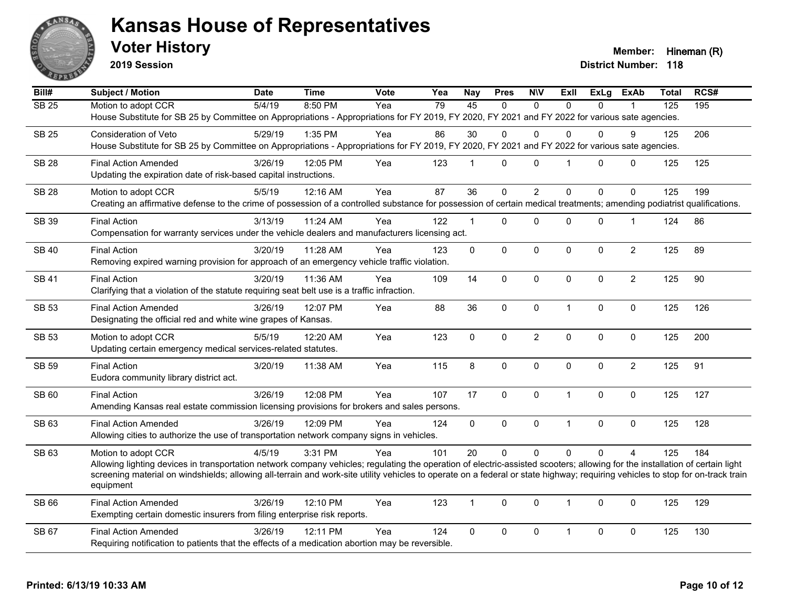

**2019 Session**

**Voter History Member:** Hineman (R)

| Bill#        | Subject / Motion                                                                                                                                                                                                                                                                                                                                               | <b>Date</b> | <b>Time</b> | Vote | Yea | <b>Nay</b>     | <b>Pres</b> | <b>NIV</b>     | <b>Exll</b>          | <b>ExLg</b>  | <b>ExAb</b>    | Total            | RCS# |
|--------------|----------------------------------------------------------------------------------------------------------------------------------------------------------------------------------------------------------------------------------------------------------------------------------------------------------------------------------------------------------------|-------------|-------------|------|-----|----------------|-------------|----------------|----------------------|--------------|----------------|------------------|------|
| <b>SB 25</b> | Motion to adopt CCR                                                                                                                                                                                                                                                                                                                                            | 5/4/19      | 8:50 PM     | Yea  | 79  | 45             | $\Omega$    | $\mathbf{0}$   | $\Omega$             | $\Omega$     |                | $\overline{125}$ | 195  |
|              | House Substitute for SB 25 by Committee on Appropriations - Appropriations for FY 2019, FY 2020, FY 2021 and FY 2022 for various sate agencies.                                                                                                                                                                                                                |             |             |      |     |                |             |                |                      |              |                |                  |      |
| <b>SB 25</b> | <b>Consideration of Veto</b>                                                                                                                                                                                                                                                                                                                                   | 5/29/19     | 1:35 PM     | Yea  | 86  | 30             | $\Omega$    | $\Omega$       | 0                    | $\Omega$     | 9              | 125              | 206  |
|              | House Substitute for SB 25 by Committee on Appropriations - Appropriations for FY 2019, FY 2020, FY 2021 and FY 2022 for various sate agencies.                                                                                                                                                                                                                |             |             |      |     |                |             |                |                      |              |                |                  |      |
| <b>SB 28</b> | <b>Final Action Amended</b>                                                                                                                                                                                                                                                                                                                                    | 3/26/19     | 12:05 PM    | Yea  | 123 | 1              | $\Omega$    | $\mathbf 0$    | $\blacktriangleleft$ | $\mathbf{0}$ | $\mathbf 0$    | 125              | 125  |
|              | Updating the expiration date of risk-based capital instructions.                                                                                                                                                                                                                                                                                               |             |             |      |     |                |             |                |                      |              |                |                  |      |
| <b>SB 28</b> | Motion to adopt CCR                                                                                                                                                                                                                                                                                                                                            | 5/5/19      | 12:16 AM    | Yea  | 87  | 36             | $\mathbf 0$ | $\overline{2}$ | $\mathbf{0}$         | $\Omega$     | $\Omega$       | 125              | 199  |
|              | Creating an affirmative defense to the crime of possession of a controlled substance for possession of certain medical treatments; amending podiatrist qualifications.                                                                                                                                                                                         |             |             |      |     |                |             |                |                      |              |                |                  |      |
| SB 39        | <b>Final Action</b>                                                                                                                                                                                                                                                                                                                                            | 3/13/19     | 11:24 AM    | Yea  | 122 | $\mathbf{1}$   | $\Omega$    | $\mathbf 0$    | 0                    | 0            | $\mathbf 1$    | 124              | 86   |
|              | Compensation for warranty services under the vehicle dealers and manufacturers licensing act.                                                                                                                                                                                                                                                                  |             |             |      |     |                |             |                |                      |              |                |                  |      |
| <b>SB 40</b> | <b>Final Action</b>                                                                                                                                                                                                                                                                                                                                            | 3/20/19     | 11:28 AM    | Yea  | 123 | 0              | $\mathbf 0$ | $\pmb{0}$      | $\mathbf 0$          | 0            | $\overline{2}$ | 125              | 89   |
|              | Removing expired warning provision for approach of an emergency vehicle traffic violation.                                                                                                                                                                                                                                                                     |             |             |      |     |                |             |                |                      |              |                |                  |      |
| <b>SB 41</b> | <b>Final Action</b>                                                                                                                                                                                                                                                                                                                                            | 3/20/19     | 11:36 AM    | Yea  | 109 | 14             | $\mathbf 0$ | $\mathbf 0$    | $\mathbf{0}$         | $\Omega$     | $\overline{2}$ | 125              | 90   |
|              | Clarifying that a violation of the statute requiring seat belt use is a traffic infraction.                                                                                                                                                                                                                                                                    |             |             |      |     |                |             |                |                      |              |                |                  |      |
| <b>SB 53</b> | <b>Final Action Amended</b>                                                                                                                                                                                                                                                                                                                                    | 3/26/19     | 12:07 PM    | Yea  | 88  | 36             | 0           | $\pmb{0}$      | $\mathbf{1}$         | 0            | $\mathbf 0$    | 125              | 126  |
|              | Designating the official red and white wine grapes of Kansas.                                                                                                                                                                                                                                                                                                  |             |             |      |     |                |             |                |                      |              |                |                  |      |
| SB 53        | Motion to adopt CCR                                                                                                                                                                                                                                                                                                                                            | 5/5/19      | 12:20 AM    | Yea  | 123 | $\overline{0}$ | $\mathbf 0$ | $\overline{2}$ | $\mathbf 0$          | $\mathbf 0$  | $\mathbf 0$    | 125              | 200  |
|              | Updating certain emergency medical services-related statutes.                                                                                                                                                                                                                                                                                                  |             |             |      |     |                |             |                |                      |              |                |                  |      |
|              | <b>Final Action</b>                                                                                                                                                                                                                                                                                                                                            |             | 11:38 AM    | Yea  | 115 |                | $\mathbf 0$ | $\mathbf 0$    |                      |              | $\overline{2}$ | 125              | 91   |
| <b>SB 59</b> | Eudora community library district act.                                                                                                                                                                                                                                                                                                                         | 3/20/19     |             |      |     | 8              |             |                | $\Omega$             | $\Omega$     |                |                  |      |
|              |                                                                                                                                                                                                                                                                                                                                                                |             |             |      |     |                |             |                |                      |              |                |                  |      |
| SB 60        | <b>Final Action</b><br>Amending Kansas real estate commission licensing provisions for brokers and sales persons.                                                                                                                                                                                                                                              | 3/26/19     | 12:08 PM    | Yea  | 107 | 17             | $\mathbf 0$ | $\mathbf 0$    | $\mathbf{1}$         | 0            | 0              | 125              | 127  |
|              |                                                                                                                                                                                                                                                                                                                                                                |             |             |      |     |                |             |                |                      |              |                |                  |      |
| SB 63        | <b>Final Action Amended</b>                                                                                                                                                                                                                                                                                                                                    | 3/26/19     | 12:09 PM    | Yea  | 124 | $\Omega$       | $\Omega$    | $\mathbf{0}$   | $\mathbf{1}$         | $\mathbf{0}$ | $\Omega$       | 125              | 128  |
|              | Allowing cities to authorize the use of transportation network company signs in vehicles.                                                                                                                                                                                                                                                                      |             |             |      |     |                |             |                |                      |              |                |                  |      |
| SB 63        | Motion to adopt CCR                                                                                                                                                                                                                                                                                                                                            | 4/5/19      | 3:31 PM     | Yea  | 101 | 20             | $\Omega$    | $\Omega$       | $\Omega$             | $\Omega$     | $\Delta$       | 125              | 184  |
|              | Allowing lighting devices in transportation network company vehicles; regulating the operation of electric-assisted scooters; allowing for the installation of certain light<br>screening material on windshields; allowing all-terrain and work-site utility vehicles to operate on a federal or state highway; requiring vehicles to stop for on-track train |             |             |      |     |                |             |                |                      |              |                |                  |      |
|              | equipment                                                                                                                                                                                                                                                                                                                                                      |             |             |      |     |                |             |                |                      |              |                |                  |      |
| SB 66        | <b>Final Action Amended</b>                                                                                                                                                                                                                                                                                                                                    | 3/26/19     | 12:10 PM    | Yea  | 123 | $\mathbf{1}$   | $\Omega$    | $\mathbf 0$    | $\mathbf{1}$         | $\Omega$     | 0              | 125              | 129  |
|              | Exempting certain domestic insurers from filing enterprise risk reports.                                                                                                                                                                                                                                                                                       |             |             |      |     |                |             |                |                      |              |                |                  |      |
| SB 67        | <b>Final Action Amended</b>                                                                                                                                                                                                                                                                                                                                    | 3/26/19     | 12:11 PM    | Yea  | 124 | 0              | 0           | $\mathbf 0$    | $\mathbf{1}$         | 0            | $\mathbf 0$    | 125              | 130  |
|              | Requiring notification to patients that the effects of a medication abortion may be reversible.                                                                                                                                                                                                                                                                |             |             |      |     |                |             |                |                      |              |                |                  |      |
|              |                                                                                                                                                                                                                                                                                                                                                                |             |             |      |     |                |             |                |                      |              |                |                  |      |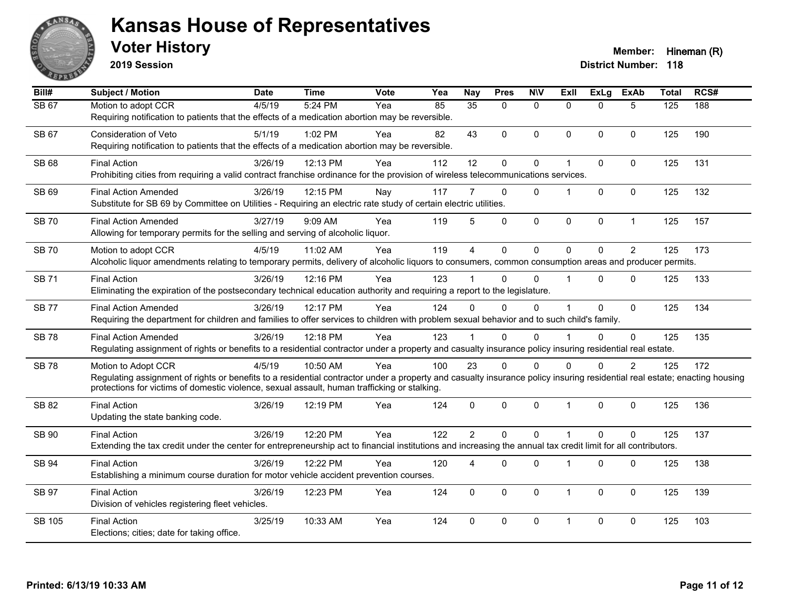

**2019 Session**

| Bill#        | <b>Subject / Motion</b>                                                                                                                                                   | <b>Date</b> | <b>Time</b> | Vote | Yea | <b>Nay</b>     | <b>Pres</b>  | <b>NIV</b>   | ExII                 | <b>ExLg</b> | <b>ExAb</b>    | <b>Total</b>     | RCS# |
|--------------|---------------------------------------------------------------------------------------------------------------------------------------------------------------------------|-------------|-------------|------|-----|----------------|--------------|--------------|----------------------|-------------|----------------|------------------|------|
| <b>SB 67</b> | Motion to adopt CCR                                                                                                                                                       | 4/5/19      | 5:24 PM     | Yea  | 85  | 35             | $\Omega$     | $\mathbf{0}$ | $\Omega$             | $\Omega$    | 5              | $\overline{125}$ | 188  |
|              | Requiring notification to patients that the effects of a medication abortion may be reversible.                                                                           |             |             |      |     |                |              |              |                      |             |                |                  |      |
| SB 67        | Consideration of Veto                                                                                                                                                     | 5/1/19      | 1:02 PM     | Yea  | 82  | 43             | $\Omega$     | $\mathbf{0}$ | $\mathbf{0}$         | $\Omega$    | $\mathbf{0}$   | 125              | 190  |
|              | Requiring notification to patients that the effects of a medication abortion may be reversible.                                                                           |             |             |      |     |                |              |              |                      |             |                |                  |      |
| SB 68        | <b>Final Action</b>                                                                                                                                                       | 3/26/19     | 12:13 PM    | Yea  | 112 | 12             | $\pmb{0}$    | $\pmb{0}$    | $\blacktriangleleft$ | 0           | $\mathbf 0$    | 125              | 131  |
|              | Prohibiting cities from requiring a valid contract franchise ordinance for the provision of wireless telecommunications services.                                         |             |             |      |     |                |              |              |                      |             |                |                  |      |
| SB 69        | <b>Final Action Amended</b>                                                                                                                                               | 3/26/19     | 12:15 PM    | Nay  | 117 | 7              | $\mathbf{0}$ | $\mathbf{0}$ |                      | $\Omega$    | $\mathbf 0$    | 125              | 132  |
|              | Substitute for SB 69 by Committee on Utilities - Requiring an electric rate study of certain electric utilities.                                                          |             |             |      |     |                |              |              |                      |             |                |                  |      |
|              |                                                                                                                                                                           |             |             |      |     |                |              |              |                      |             |                |                  |      |
| <b>SB 70</b> | <b>Final Action Amended</b><br>Allowing for temporary permits for the selling and serving of alcoholic liquor.                                                            | 3/27/19     | 9:09 AM     | Yea  | 119 | 5              | $\mathbf 0$  | $\mathbf 0$  | 0                    | 0           | $\overline{1}$ | 125              | 157  |
|              |                                                                                                                                                                           |             |             |      |     |                |              |              |                      |             |                |                  |      |
| <b>SB70</b>  | Motion to adopt CCR                                                                                                                                                       | 4/5/19      | 11:02 AM    | Yea  | 119 | $\overline{4}$ | $\mathbf 0$  | $\mathbf 0$  | $\Omega$             | $\Omega$    | 2              | 125              | 173  |
|              | Alcoholic liquor amendments relating to temporary permits, delivery of alcoholic liquors to consumers, common consumption areas and producer permits.                     |             |             |      |     |                |              |              |                      |             |                |                  |      |
| <b>SB 71</b> | <b>Final Action</b>                                                                                                                                                       | 3/26/19     | 12:16 PM    | Yea  | 123 |                | $\Omega$     | $\Omega$     |                      | $\Omega$    | $\Omega$       | 125              | 133  |
|              | Eliminating the expiration of the postsecondary technical education authority and requiring a report to the legislature.                                                  |             |             |      |     |                |              |              |                      |             |                |                  |      |
| <b>SB77</b>  | <b>Final Action Amended</b>                                                                                                                                               | 3/26/19     | 12:17 PM    | Yea  | 124 | $\Omega$       | $\Omega$     | $\Omega$     |                      | $\Omega$    | $\mathbf{0}$   | 125              | 134  |
|              | Requiring the department for children and families to offer services to children with problem sexual behavior and to such child's family.                                 |             |             |      |     |                |              |              |                      |             |                |                  |      |
| <b>SB78</b>  | <b>Final Action Amended</b>                                                                                                                                               | 3/26/19     | 12:18 PM    | Yea  | 123 |                | $\Omega$     | $\Omega$     |                      | $\Omega$    | $\Omega$       | 125              | 135  |
|              | Regulating assignment of rights or benefits to a residential contractor under a property and casualty insurance policy insuring residential real estate.                  |             |             |      |     |                |              |              |                      |             |                |                  |      |
| <b>SB78</b>  | Motion to Adopt CCR                                                                                                                                                       | 4/5/19      | 10:50 AM    | Yea  | 100 | 23             | $\Omega$     | $\Omega$     | $\Omega$             | $\Omega$    | $\overline{2}$ | 125              | 172  |
|              | Regulating assignment of rights or benefits to a residential contractor under a property and casualty insurance policy insuring residential real estate; enacting housing |             |             |      |     |                |              |              |                      |             |                |                  |      |
|              | protections for victims of domestic violence, sexual assault, human trafficking or stalking.                                                                              |             |             |      |     |                |              |              |                      |             |                |                  |      |
| SB 82        | <b>Final Action</b>                                                                                                                                                       | 3/26/19     | 12:19 PM    | Yea  | 124 | $\mathbf{0}$   | $\mathbf 0$  | $\mathbf 0$  | $\overline{1}$       | 0           | $\mathbf 0$    | 125              | 136  |
|              | Updating the state banking code.                                                                                                                                          |             |             |      |     |                |              |              |                      |             |                |                  |      |
| SB 90        | <b>Final Action</b>                                                                                                                                                       | 3/26/19     | 12:20 PM    | Yea  | 122 | $\overline{2}$ | $\Omega$     | $\Omega$     | $\overline{1}$       | $\Omega$    | $\Omega$       | 125              | 137  |
|              | Extending the tax credit under the center for entrepreneurship act to financial institutions and increasing the annual tax credit limit for all contributors.             |             |             |      |     |                |              |              |                      |             |                |                  |      |
|              |                                                                                                                                                                           |             |             |      |     |                |              |              |                      |             |                |                  |      |
| <b>SB 94</b> | <b>Final Action</b><br>Establishing a minimum course duration for motor vehicle accident prevention courses.                                                              | 3/26/19     | 12:22 PM    | Yea  | 120 | 4              | $\Omega$     | $\Omega$     | 1                    | $\Omega$    | $\mathbf 0$    | 125              | 138  |
|              |                                                                                                                                                                           |             |             |      |     |                |              |              |                      |             |                |                  |      |
| <b>SB 97</b> | <b>Final Action</b>                                                                                                                                                       | 3/26/19     | 12:23 PM    | Yea  | 124 | $\mathbf{0}$   | $\Omega$     | $\mathbf{0}$ | $\mathbf 1$          | $\Omega$    | $\mathbf{0}$   | 125              | 139  |
|              | Division of vehicles registering fleet vehicles.                                                                                                                          |             |             |      |     |                |              |              |                      |             |                |                  |      |
| SB 105       | <b>Final Action</b>                                                                                                                                                       | 3/25/19     | 10:33 AM    | Yea  | 124 | $\Omega$       | $\Omega$     | $\mathbf{0}$ | 1                    | $\Omega$    | $\mathbf{0}$   | 125              | 103  |
|              | Elections; cities; date for taking office.                                                                                                                                |             |             |      |     |                |              |              |                      |             |                |                  |      |
|              |                                                                                                                                                                           |             |             |      |     |                |              |              |                      |             |                |                  |      |